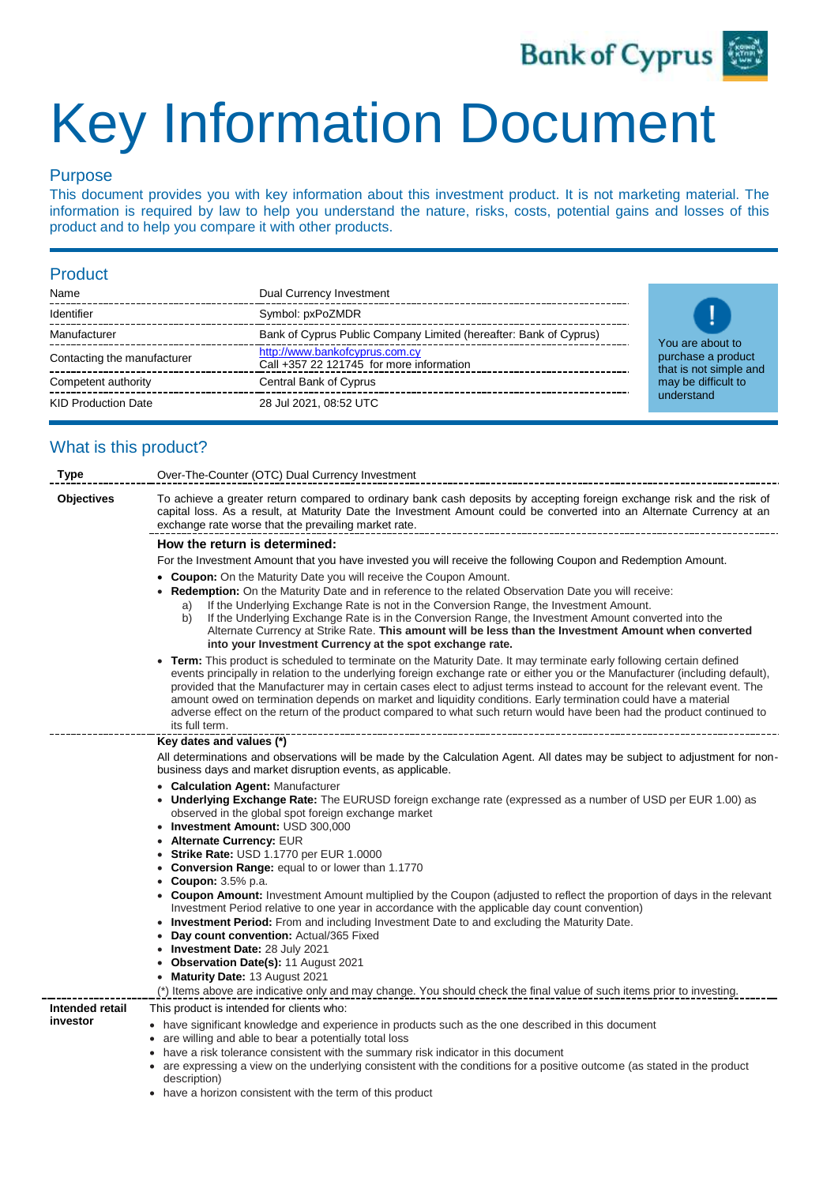

# Key Information Document

### Purpose

This document provides you with key information about this investment product. It is not marketing material. The information is required by law to help you understand the nature, risks, costs, potential gains and losses of this product and to help you compare it with other products.

#### Product

| Name                        | Dual Currency Investment                                                   |  |
|-----------------------------|----------------------------------------------------------------------------|--|
| Identifier                  | Symbol: pxPoZMDR                                                           |  |
| Manufacturer                | Bank of Cyprus Public Company Limited (hereafter: Bank of Cyprus)          |  |
| Contacting the manufacturer | http://www.bankofcyprus.com.cy<br>Call +357 22 121745 for more information |  |
| Competent authority         | Central Bank of Cyprus                                                     |  |
| <b>KID Production Date</b>  | 28 Jul 2021, 08:52 UTC                                                     |  |



## What is this product?

| <b>Type</b>                 | Over-The-Counter (OTC) Dual Currency Investment                                                                                                                                                                                                                                                                                                                                                                                                                                                                                                                                                                                               |
|-----------------------------|-----------------------------------------------------------------------------------------------------------------------------------------------------------------------------------------------------------------------------------------------------------------------------------------------------------------------------------------------------------------------------------------------------------------------------------------------------------------------------------------------------------------------------------------------------------------------------------------------------------------------------------------------|
| <b>Objectives</b>           | To achieve a greater return compared to ordinary bank cash deposits by accepting foreign exchange risk and the risk of<br>capital loss. As a result, at Maturity Date the Investment Amount could be converted into an Alternate Currency at an<br>exchange rate worse that the prevailing market rate.                                                                                                                                                                                                                                                                                                                                       |
|                             | How the return is determined:                                                                                                                                                                                                                                                                                                                                                                                                                                                                                                                                                                                                                 |
|                             | For the Investment Amount that you have invested you will receive the following Coupon and Redemption Amount.                                                                                                                                                                                                                                                                                                                                                                                                                                                                                                                                 |
|                             | <b>Coupon:</b> On the Maturity Date you will receive the Coupon Amount.<br><b>Redemption:</b> On the Maturity Date and in reference to the related Observation Date you will receive:<br>If the Underlying Exchange Rate is not in the Conversion Range, the Investment Amount.<br>a)<br>If the Underlying Exchange Rate is in the Conversion Range, the Investment Amount converted into the<br>b)<br>Alternate Currency at Strike Rate. This amount will be less than the Investment Amount when converted<br>into your Investment Currency at the spot exchange rate.                                                                      |
|                             | Term: This product is scheduled to terminate on the Maturity Date. It may terminate early following certain defined<br>events principally in relation to the underlying foreign exchange rate or either you or the Manufacturer (including default),<br>provided that the Manufacturer may in certain cases elect to adjust terms instead to account for the relevant event. The<br>amount owed on termination depends on market and liquidity conditions. Early termination could have a material<br>adverse effect on the return of the product compared to what such return would have been had the product continued to<br>its full term. |
|                             | Key dates and values (*)                                                                                                                                                                                                                                                                                                                                                                                                                                                                                                                                                                                                                      |
|                             | All determinations and observations will be made by the Calculation Agent. All dates may be subject to adjustment for non-<br>business days and market disruption events, as applicable.                                                                                                                                                                                                                                                                                                                                                                                                                                                      |
|                             | <b>Calculation Agent: Manufacturer</b><br>$\bullet$<br>Underlying Exchange Rate: The EURUSD foreign exchange rate (expressed as a number of USD per EUR 1.00) as<br>٠<br>observed in the global spot foreign exchange market<br>• Investment Amount: USD 300,000                                                                                                                                                                                                                                                                                                                                                                              |
|                             | Alternate Currency: EUR                                                                                                                                                                                                                                                                                                                                                                                                                                                                                                                                                                                                                       |
|                             | <b>Strike Rate: USD 1.1770 per EUR 1.0000</b>                                                                                                                                                                                                                                                                                                                                                                                                                                                                                                                                                                                                 |
|                             | <b>Conversion Range:</b> equal to or lower than 1.1770<br>$\bullet$                                                                                                                                                                                                                                                                                                                                                                                                                                                                                                                                                                           |
|                             | <b>Coupon:</b> 3.5% p.a.<br>• Coupon Amount: Investment Amount multiplied by the Coupon (adjusted to reflect the proportion of days in the relevant<br>Investment Period relative to one year in accordance with the applicable day count convention)<br><b>Investment Period:</b> From and including Investment Date to and excluding the Maturity Date.                                                                                                                                                                                                                                                                                     |
|                             | $\bullet$<br>Day count convention: Actual/365 Fixed<br>$\bullet$                                                                                                                                                                                                                                                                                                                                                                                                                                                                                                                                                                              |
|                             | Investment Date: 28 July 2021<br>$\bullet$                                                                                                                                                                                                                                                                                                                                                                                                                                                                                                                                                                                                    |
|                             | <b>Observation Date(s): 11 August 2021</b>                                                                                                                                                                                                                                                                                                                                                                                                                                                                                                                                                                                                    |
|                             | Maturity Date: 13 August 2021<br>$\bullet$                                                                                                                                                                                                                                                                                                                                                                                                                                                                                                                                                                                                    |
|                             | (*) Items above are indicative only and may change. You should check the final value of such items prior to investing.                                                                                                                                                                                                                                                                                                                                                                                                                                                                                                                        |
| Intended retail<br>investor | This product is intended for clients who:                                                                                                                                                                                                                                                                                                                                                                                                                                                                                                                                                                                                     |
|                             | • have significant knowledge and experience in products such as the one described in this document<br>• are willing and able to bear a potentially total loss<br>have a risk tolerance consistent with the summary risk indicator in this document<br>٠<br>• are expressing a view on the underlying consistent with the conditions for a positive outcome (as stated in the product<br>description)                                                                                                                                                                                                                                          |

• have a horizon consistent with the term of this product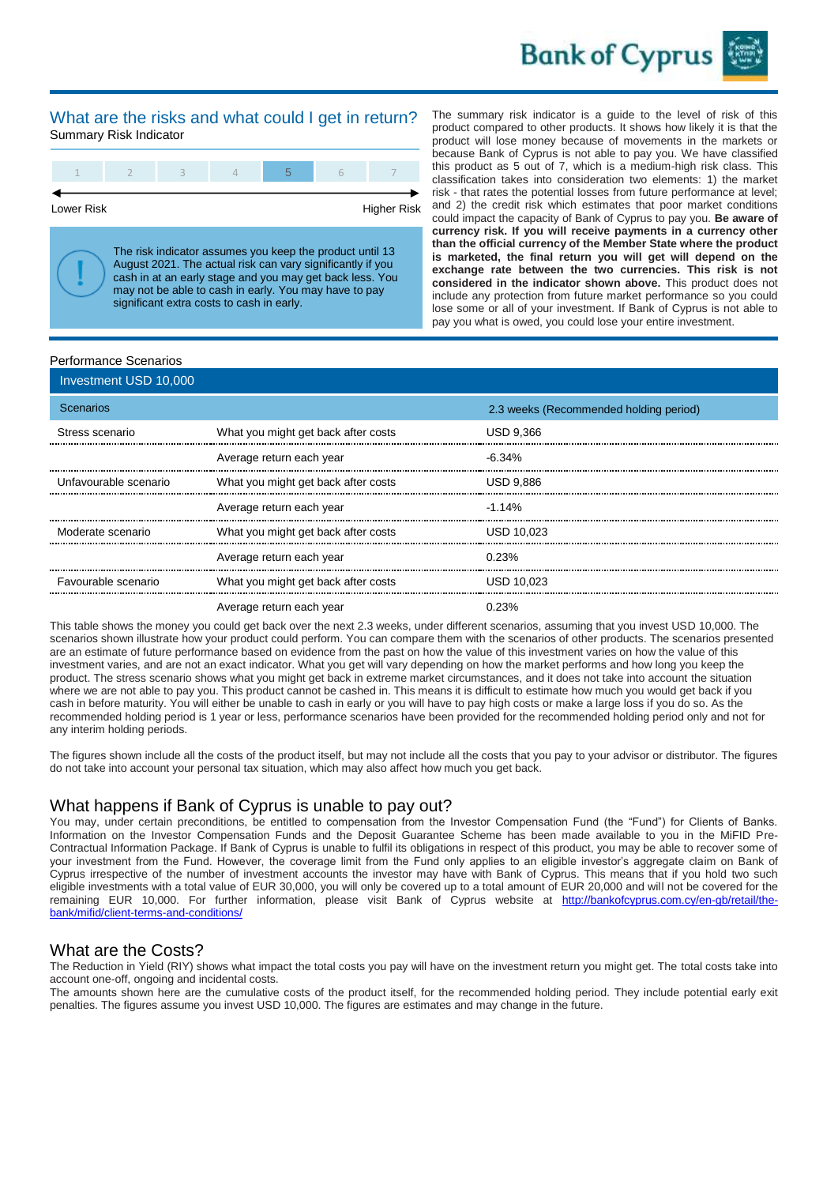

#### What are the risks and what could I get in return? Summary Risk Indicator



Lower Risk **Higher Risk** 

The risk indicator assumes you keep the product until 13 August 2021. The actual risk can vary significantly if you cash in at an early stage and you may get back less. You may not be able to cash in early. You may have to pay significant extra costs to cash in early.

The summary risk indicator is a guide to the level of risk of this product compared to other products. It shows how likely it is that the product will lose money because of movements in the markets or because Bank of Cyprus is not able to pay you. We have classified this product as 5 out of 7, which is a medium-high risk class. This classification takes into consideration two elements: 1) the market risk - that rates the potential losses from future performance at level; and 2) the credit risk which estimates that poor market conditions could impact the capacity of Bank of Cyprus to pay you. **Be aware of currency risk. If you will receive payments in a currency other than the official currency of the Member State where the product is marketed, the final return you will get will depend on the exchange rate between the two currencies. This risk is not considered in the indicator shown above.** This product does not include any protection from future market performance so you could lose some or all of your investment. If Bank of Cyprus is not able to pay you what is owed, you could lose your entire investment.

#### Performance Scenarios

| Investment USD 10,000 |                                     |                                        |
|-----------------------|-------------------------------------|----------------------------------------|
| Scenarios             |                                     | 2.3 weeks (Recommended holding period) |
| Stress scenario       | What you might get back after costs | <b>USD 9.366</b>                       |
|                       | Average return each year            | $-6.34\%$                              |
| Unfavourable scenario | What you might get back after costs | <b>USD 9.886</b>                       |
|                       | Average return each year            | $-1.14%$                               |
| Moderate scenario     | What you might get back after costs | <b>USD 10.023</b>                      |
|                       | Average return each year            | 0.23%                                  |
| Favourable scenario   | What you might get back after costs | <b>USD 10.023</b>                      |
|                       | Average return each year            | 0.23%                                  |

This table shows the money you could get back over the next 2.3 weeks, under different scenarios, assuming that you invest USD 10,000. The scenarios shown illustrate how your product could perform. You can compare them with the scenarios of other products. The scenarios presented are an estimate of future performance based on evidence from the past on how the value of this investment varies on how the value of this investment varies, and are not an exact indicator. What you get will vary depending on how the market performs and how long you keep the product. The stress scenario shows what you might get back in extreme market circumstances, and it does not take into account the situation where we are not able to pay you. This product cannot be cashed in. This means it is difficult to estimate how much you would get back if you cash in before maturity. You will either be unable to cash in early or you will have to pay high costs or make a large loss if you do so. As the recommended holding period is 1 year or less, performance scenarios have been provided for the recommended holding period only and not for any interim holding periods.

The figures shown include all the costs of the product itself, but may not include all the costs that you pay to your advisor or distributor. The figures do not take into account your personal tax situation, which may also affect how much you get back.

#### What happens if Bank of Cyprus is unable to pay out?

You may, under certain preconditions, be entitled to compensation from the Investor Compensation Fund (the "Fund") for Clients of Banks. Information on the Investor Compensation Funds and the Deposit Guarantee Scheme has been made available to you in the MiFID Pre-Contractual Information Package. If Bank of Cyprus is unable to fulfil its obligations in respect of this product, you may be able to recover some of your investment from the Fund. However, the coverage limit from the Fund only applies to an eligible investor's aggregate claim on Bank of Cyprus irrespective of the number of investment accounts the investor may have with Bank of Cyprus. This means that if you hold two such eligible investments with a total value of EUR 30,000, you will only be covered up to a total amount of EUR 20,000 and will not be covered for the remaining EUR 10,000. For further information, please visit Bank of Cyprus website at [http://bankofcyprus.com.cy/en-gb/retail/the](http://bankofcyprus.com.cy/en-gb/retail/the-bank/mifid/client-terms-and-conditions)[bank/mifid/client-terms-and-conditions/](http://bankofcyprus.com.cy/en-gb/retail/the-bank/mifid/client-terms-and-conditions)

#### What are the Costs?

The Reduction in Yield (RIY) shows what impact the total costs you pay will have on the investment return you might get. The total costs take into account one-off, ongoing and incidental costs.

The amounts shown here are the cumulative costs of the product itself, for the recommended holding period. They include potential early exit penalties. The figures assume you invest USD 10,000. The figures are estimates and may change in the future.